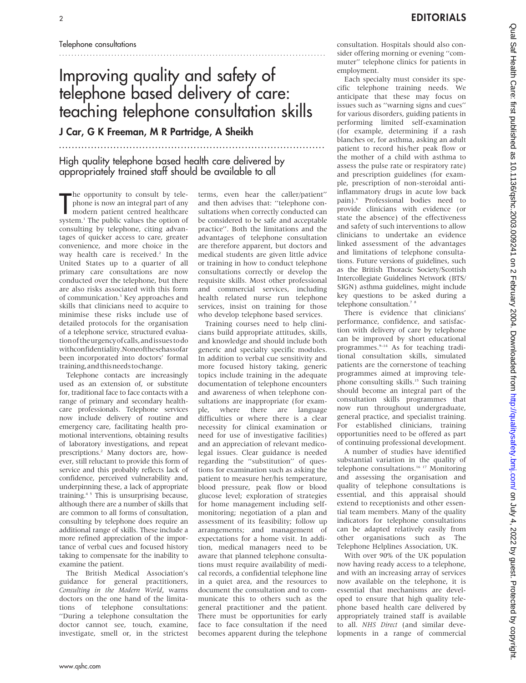#### Telephone consultations .......................................................................................

# Improving quality and safety of telephone based delivery of care: teaching telephone consultation skills

J Car, G K Freeman, M R Partridge, A Sheikh

...................................................................................

## High quality telephone based health care delivered by appropriately trained staff should be available to all

The opportunity to consult by tele-<br>phone is now an integral part of any<br>modern patient centred healthcare<br>system.<sup>1</sup> The public values the option of he opportunity to consult by telephone is now an integral part of any modern patient centred healthcare consulting by telephone, citing advantages of quicker access to care, greater convenience, and more choice in the way health care is received.<sup>2</sup> In the United States up to a quarter of all primary care consultations are now conducted over the telephone, but there are also risks associated with this form of communication.3 Key approaches and skills that clinicians need to acquire to minimise these risks include use of detailed protocols for the organisation of a telephone service, structured evaluationoftheurgencyofcalls,andissuestodo withconfidentiality.Noneofthesehassofar been incorporated into doctors' formal training,andthisneedstochange.

Telephone contacts are increasingly used as an extension of, or substitute for, traditional face to face contacts with a range of primary and secondary healthcare professionals. Telephone services now include delivery of routine and emergency care, facilitating health promotional interventions, obtaining results of laboratory investigations, and repeat prescriptions.2 Many doctors are, however, still reluctant to provide this form of service and this probably reflects lack of confidence, perceived vulnerability and, underpinning these, a lack of appropriate training.<sup>45</sup> This is unsurprising because, although there are a number of skills that are common to all forms of consultation, consulting by telephone does require an additional range of skills. These include a more refined appreciation of the importance of verbal cues and focused history taking to compensate for the inability to examine the patient.

The British Medical Association's guidance for general practitioners, Consulting in the Modern World, warns doctors on the one hand of the limitations of telephone consultations: ''During a telephone consultation the doctor cannot see, touch, examine, investigate, smell or, in the strictest terms, even hear the caller/patient'' and then advises that: ''telephone consultations when correctly conducted can be considered to be safe and acceptable practice''. Both the limitations and the advantages of telephone consultation are therefore apparent, but doctors and medical students are given little advice or training in how to conduct telephone consultations correctly or develop the requisite skills. Most other professional and commercial services, including health related nurse run telephone services, insist on training for those who develop telephone based services.

Training courses need to help clinicians build appropriate attitudes, skills, and knowledge and should include both generic and specialty specific modules. In addition to verbal cue sensitivity and more focused history taking, generic topics include training in the adequate documentation of telephone encounters and awareness of when telephone consultations are inappropriate (for example, where there are language difficulties or where there is a clear necessity for clinical examination or need for use of investigative facilities) and an appreciation of relevant medicolegal issues. Clear guidance is needed regarding the ''substitution'' of questions for examination such as asking the patient to measure her/his temperature, blood pressure, peak flow or blood glucose level; exploration of strategies for home management including selfmonitoring; negotiation of a plan and assessment of its feasibility; follow up arrangements; and management of expectations for a home visit. In addition, medical managers need to be aware that planned telephone consultations must require availability of medical records, a confidential telephone line in a quiet area, and the resources to document the consultation and to communicate this to others such as the general practitioner and the patient. There must be opportunities for early face to face consultation if the need becomes apparent during the telephone

consultation. Hospitals should also consider offering morning or evening ''com-

muter'' telephone clinics for patients in

employment. Each specialty must consider its specific telephone training needs. We anticipate that these may focus on issues such as ''warning signs and cues'' for various disorders, guiding patients in performing limited self-examination (for example, determining if a rash blanches or, for asthma, asking an adult patient to record his/her peak flow or the mother of a child with asthma to assess the pulse rate or respiratory rate) and prescription guidelines (for example, prescription of non-steroidal antiinflammatory drugs in acute low back pain).6 Professional bodies need to provide clinicians with evidence (or state the absence) of the effectiveness and safety of such interventions to allow clinicians to undertake an evidence linked assessment of the advantages and limitations of telephone consultations. Future versions of guidelines, such as the British Thoracic Society/Scottish Intercollegiate Guidelines Network (BTS/ SIGN) asthma guidelines, might include key questions to be asked during a telephone consultation.<sup>7</sup><sup>8</sup>

There is evidence that clinicians' performance, confidence, and satisfaction with delivery of care by telephone can be improved by short educational programmes.<sup>9-14</sup> As for teaching traditional consultation skills, simulated patients are the cornerstone of teaching programmes aimed at improving telephone consulting skills.15 Such training should become an integral part of the consultation skills programmes that now run throughout undergraduate, general practice, and specialist training. For established clinicians, training opportunities need to be offered as part of continuing professional development.

A number of studies have identified substantial variation in the quality of telephone consultations.16 17 Monitoring and assessing the organisation and quality of telephone consultations is essential, and this appraisal should extend to receptionists and other essential team members. Many of the quality indicators for telephone consultations can be adapted relatively easily from other organisations such as The Telephone Helplines Association, UK.

With over 90% of the UK population now having ready access to a telephone, and with an increasing array of services now available on the telephone, it is essential that mechanisms are developed to ensure that high quality telephone based health care delivered by appropriately trained staff is available to all. NHS Direct (and similar developments in a range of commercial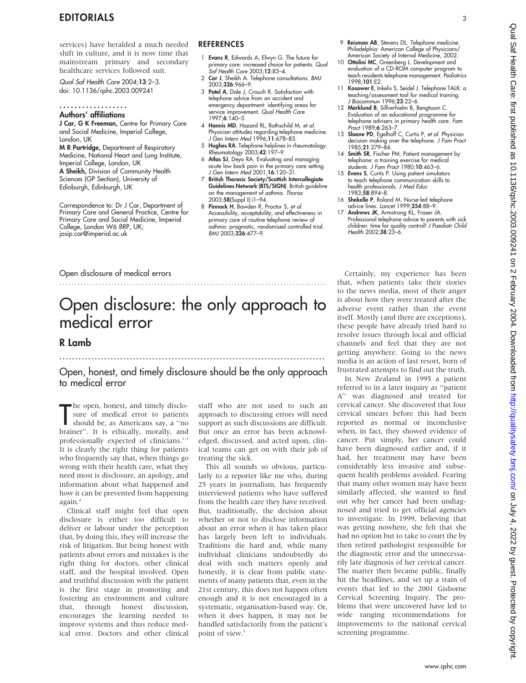services) have heralded a much needed shift in culture, and it is now time that mainstream primary and secondary healthcare services followed suit.

Qual Saf Health Care 2004;13:2–3. doi: 10.1136/qshc.2003.009241

#### Authors' affiliations ......................

J Car, G K Freeman, Centre for Primary Care and Social Medicine, Imperial College, London, UK

M R Partridge, Department of Respiratory Medicine, National Heart and Lung Institute, Imperial College, London, UK A Sheikh, Division of Community Health Sciences (GP Section), University of Edinburgh, Edinburgh, UK

Correspondence to: Dr J Car, Department of Primary Care and General Practice, Centre for Primary Care and Social Medicine, Imperial College, London W6 8RP, UK; josip.car@imperial.ac.uk

### REFERENCES

- 1 Evans R, Edwards A, Elwyn G. The future for primary care: increased choice for patients. Qual Saf Health Care 2003;12:83–4.
- 2 Car J, Sheikh A. Telephone consultations. BMJ 2003;326:966–9.
- 3 Patel A, Dale J, Crouch R. Satisfaction with telephone advice from an accident and emergency department: identitying areas tor<br>service improvement. Qual Health Care  $1997.6.140 - 5$
- 4 Hannis MD, Hazard RL, Rothschild M, et al. Physician attitudes regarding telephone medicine. J Gen Intern Med 1996;11:678–83.
- 5 Hughes RA. Telephone helplines in rheumatology. Rheumatology 2003;42:197–9.
- 6 Atlas SJ, Deyo RA. Evaluating and managing acute low back pain in the primary care setting. J Gen Intern Med 2001;16:120–31.
- 7 British Thoracic Society/Scottish Intercollegiate Guidelines Network (BTS/SIGN). British guideline on the management of asthma. Thorax 2003;58(Suppl I):i1–94.
- 8 Pinnock H, Bawden R, Proctor S, et al. Accessibility, acceptability, and effectiveness in primary care of routine telephone review of asthma: pragmatic, randomised controlled trial. BMJ 2003;326:477–9.
- 9 Reisman AB, Stevens DL. Telephone medicine. Philadelphia: American College of Physicians/ American Society of Internal Medicine, 2002.
- 10 Ottolini MC, Greenberg L. Development and evaluation of a CD-ROM computer program to teach residents telephone management. Pediatrics 1998;101:E2.
- 11 Kosower E, Inkelis S, Seidel J. Telephone TALK: a teaching/assessment tool for medical training. J Biocommun 1996;23:22–6.
- 12 Marklund B, Silfverhielm B, Bengtsson C. Evaluation of an educational programme for telephone advisers in primary health care. Fam Pract 1989; 6:263-7
- 13 Sloane PD, Egelhoff C, Curtis P, et al. Physician decision making over the telephone. J Fam Pract 1985;21:279–84.
- 14 Smith SR, Fischer PM. Patient management by telephone: a training exercise for medical students. J Fam Pract 1980;10:463–6.
- 15 Evens S, Curtis P. Using patient simulators to teach telephone communication skills to health professionals. J Med Educ 1983;58:894–8.
- 16 Shekelle P, Roland M. Nurse-led telephone advice lines. Lancet 1999;354:88–9.
- 17 Andrews JK, Armstrong KL, Fraser JA. Professional telephone advice to parents with sick children: time for quality control! J Paediatr Child Health 2002;38:23–6.

Open disclosure of medical errors

# Open disclosure: the only approach to medical error

.......................................................................................

## R Lamb

Open, honest, and timely disclosure should be the only approach to medical error

...................................................................................

The open, honest, and timely disclo-<br>sure of medical error to patients<br>should be, as Americans say, a "no<br>brainer". It is ethically, morally, and he open, honest, and timely disclosure of medical error to patients should be, as Americans say, a ''no professionally expected of clinicians.<sup>1-3</sup> It is clearly the right thing for patients who frequently say that, when things go wrong with their health care, what they need most is disclosure, an apology, and information about what happened and how it can be prevented from happening again.4

Clinical staff might feel that open disclosure is either too difficult to deliver or labour under the perception that, by doing this, they will increase the risk of litigation. But being honest with patients about errors and mistakes is the right thing for doctors, other clinical staff, and the hospital involved. Open and truthful discussion with the patient is the first stage in promoting and fostering an environment and culture that, through honest discussion, encourages the learning needed to improve systems and thus reduce medical error. Doctors and other clinical staff who are not used to such an approach to discussing errors will need support as such discussions are difficult. But once an error has been acknowledged, discussed, and acted upon, clinical teams can get on with their job of treating the sick.

This all sounds so obvious, particularly to a reporter like me who, during 25 years in journalism, has frequently interviewed patients who have suffered from the health care they have received. But, traditionally, the decision about whether or not to disclose information about an error when it has taken place has largely been left to individuals. Traditions die hard and, while many individual clinicians undoubtedly do deal with such matters openly and honestly, it is clear from public statements of many patients that, even in the 21st century, this does not happen often enough and it is not encouraged in a systematic, organisation-based way. Or, when it does happen, it may not be handled satisfactorily from the patient's point of view.<sup>5</sup>

Certainly, my experience has been that, when patients take their stories to the news media, most of their anger is about how they were treated after the adverse event rather than the event itself. Mostly (and there are exceptions), these people have already tried hard to resolve issues through local and official channels and feel that they are not getting anywhere. Going to the news media is an action of last resort, born of frustrated attempts to find out the truth.

In New Zealand in 1995 a patient referred to in a later inquiry as ''patient A'' was diagnosed and treated for cervical cancer. She discovered that four cervical smears before this had been reported as normal or inconclusive when, in fact, they showed evidence of cancer. Put simply, her cancer could have been diagnosed earlier and, if it had, her treatment may have been considerably less invasive and subsequent health problems avoided. Fearing that many other women may have been similarly affected, she wanted to find out why her cancer had been undiagnosed and tried to get official agencies to investigate. In 1999, believing that was getting nowhere, she felt that she had no option but to take to court the by then retired pathologist responsible for the diagnostic error and the unnecessarily late diagnosis of her cervical cancer. The matter then became public, finally hit the headlines, and set up a train of events that led to the 2001 Gisborne Cervical Screening Inquiry. The problems that were uncovered have led to wide ranging recommendations for improvements to the national cervical screening programme.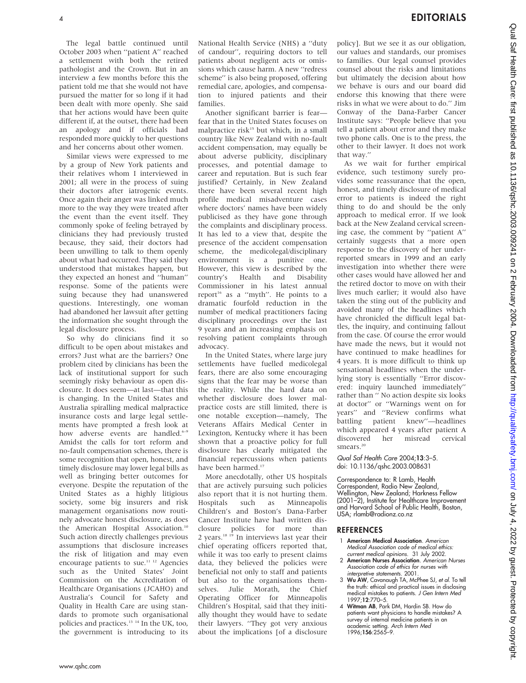The legal battle continued until October 2003 when ''patient A'' reached a settlement with both the retired pathologist and the Crown. But in an interview a few months before this the patient told me that she would not have pursued the matter for so long if it had been dealt with more openly. She said that her actions would have been quite different if, at the outset, there had been an apology and if officials had responded more quickly to her questions and her concerns about other women.

Similar views were expressed to me by a group of New York patients and their relatives whom I interviewed in 2001; all were in the process of suing their doctors after iatrogenic events. Once again their anger was linked much more to the way they were treated after the event than the event itself. They commonly spoke of feeling betrayed by clinicians they had previously trusted because, they said, their doctors had been unwilling to talk to them openly about what had occurred. They said they understood that mistakes happen, but they expected an honest and ''human'' response. Some of the patients were suing because they had unanswered questions. Interestingly, one woman had abandoned her lawsuit after getting the information she sought through the legal disclosure process.

So why do clinicians find it so difficult to be open about mistakes and errors? Just what are the barriers? One problem cited by clinicians has been the lack of institutional support for such seemingly risky behaviour as open disclosure. It does seem—at last—that this is changing. In the United States and Australia spiralling medical malpractice insurance costs and large legal settlements have prompted a fresh look at how adverse events are handled.<sup>6-9</sup> Amidst the calls for tort reform and no-fault compensation schemes, there is some recognition that open, honest, and timely disclosure may lower legal bills as well as bringing better outcomes for everyone. Despite the reputation of the United States as a highly litigious society, some big insurers and risk management organisations now routinely advocate honest disclosure, as does the American Hospital Association.<sup>10</sup> Such action directly challenges previous assumptions that disclosure increases the risk of litigation and may even encourage patients to sue.11 12 Agencies such as the United States' Joint Commission on the Accreditation of Healthcare Organisations (JCAHO) and Australia's Council for Safety and Quality in Health Care are using standards to promote such organisational policies and practices.13 14 In the UK, too, the government is introducing to its National Health Service (NHS) a ''duty of candour'', requiring doctors to tell patients about negligent acts or omissions which cause harm. A new ''redress scheme'' is also being proposed, offering remedial care, apologies, and compensation to injured patients and their families.

Another significant barrier is fear fear that in the United States focuses on malpractice risk<sup>15</sup> but which, in a small country like New Zealand with no-fault accident compensation, may equally be about adverse publicity, disciplinary processes, and potential damage to career and reputation. But is such fear justified? Certainly, in New Zealand there have been several recent high profile medical misadventure cases where doctors' names have been widely publicised as they have gone through the complaints and disciplinary process. It has led to a view that, despite the presence of the accident compensation scheme, the medicolegal/disciplinary environment is a punitive one. However, this view is described by the country's Health and Disability Commissioner in his latest annual report<sup>16</sup> as a "myth". He points to a dramatic fourfold reduction in the number of medical practitioners facing disciplinary proceedings over the last 9 years and an increasing emphasis on resolving patient complaints through advocacy.

In the United States, where large jury settlements have fuelled medicolegal fears, there are also some encouraging signs that the fear may be worse than the reality. While the hard data on whether disclosure does lower malpractice costs are still limited, there is one notable exception—namely, The Veterans Affairs Medical Center in Lexington, Kentucky where it has been shown that a proactive policy for full disclosure has clearly mitigated the financial repercussions when patients have been harmed.<sup>17</sup>

More anecdotally, other US hospitals that are actively pursuing such policies also report that it is not hurting them. Hospitals such as Minneapolis Children's and Boston's Dana-Farber Cancer Institute have had written disclosure policies for more than 2 years.<sup>18</sup> <sup>19</sup> In interviews last year their chief operating officers reported that, while it was too early to present claims data, they believed the policies were beneficial not only to staff and patients but also to the organisations themselves. Julie Morath, the Chief Operating Officer for Minneapolis Children's Hospital, said that they initially thought they would have to sedate their lawyers. ''They got very anxious about the implications [of a disclosure

policy]. But we see it as our obligation, our values and standards, our promises to families. Our legal counsel provides counsel about the risks and limitations but ultimately the decision about how we behave is ours and our board did endorse this knowing that there were risks in what we were about to do.'' Jim Conway of the Dana-Farber Cancer Institute says: ''People believe that you tell a patient about error and they make two phone calls. One is to the press, the other to their lawyer. It does not work that way.''

As we wait for further empirical evidence, such testimony surely provides some reassurance that the open, honest, and timely disclosure of medical error to patients is indeed the right thing to do and should be the only approach to medical error. If we look back at the New Zealand cervical screening case, the comment by ''patient A'' certainly suggests that a more open response to the discovery of her underreported smears in 1999 and an early investigation into whether there were other cases would have allowed her and the retired doctor to move on with their lives much earlier; it would also have taken the sting out of the publicity and avoided many of the headlines which have chronicled the difficult legal battles, the inquiry, and continuing fallout from the case. Of course the error would have made the news, but it would not have continued to make headlines for 4 years. It is more difficult to think up sensational headlines when the underlying story is essentially ''Error discovered: inquiry launched immediately'' rather than '' No action despite six looks at doctor'' or ''Warnings went on for years'' and ''Review confirms what battling patient knew''—headlines which appeared 4 years after patient A discovered her misread cervical smears<sup>20</sup>

Qual Saf Health Care 2004;13:3–5. doi: 10.1136/qshc.2003.008631

Correspondence to: R Lamb, Health Correspondent, Radio New Zealand, Wellington, New Zealand; Harkness Fellow (2001–2), Institute for Healthcare Improvement and Harvard School of Public Health, Boston, USA; rlamb@radionz.co.nz

### **REFERENCES**

- 1 American Medical Association. American Medical Association code of medical ethics:
- current medical opinions. 31 July 2002. 2 American Nurses Association. American Nurses Association code of ethics for nurses with interpretive statements. 2001.
- 3 Wu AW, Cavanaugh TA, McPhee SJ, et al. To tell the truth: ethical and practical issues in disclosing medical mistakes to patients. J Gen Intern Med 1997;12:770–5.
- 4 Witman AB, Park DM, Hardin SB. How do patients want physicians to handle mistakes? A survey of internal medicine patients in an academic setting. Arch Intern Mec<br>1996;**156**:2565–9.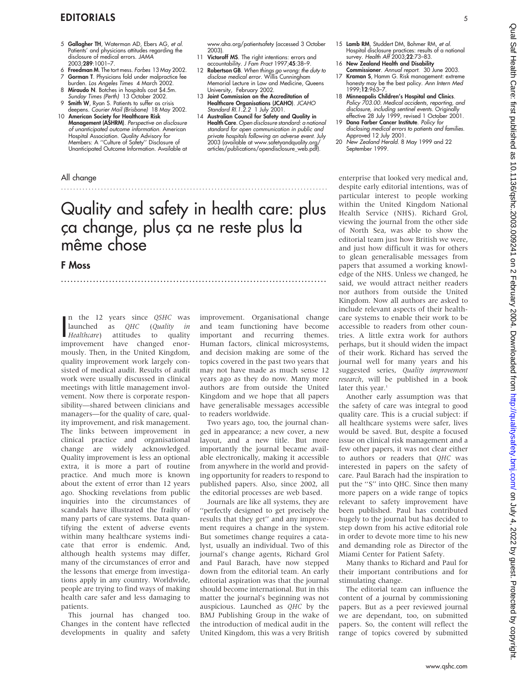- 5 Gallagher TH, Waterman AD, Ebers AG, et al. Patients' and physicians attitudes regarding the disclosure of medical errors. JAMA 2003;289:1001–7.
- Freedman M. The tort mess. Forbes 13 May 2002. Gorman T. Physicians fold under malpractice fee
- burden. Los Angeles Times 4 March 2002. 8 Miraudo N. Botches in hospitals cost \$4.5m.
- Sunday Times (Perth) 13 October 2002.
- **Smith W.** Ryan S. Patients to suffer as crisis deepens. Courier Mail (Brisbane) 18 May 2002.
- American Society for Healthcare Risk Management (ASHRM). Perspective on disclosure of unanticipated outcome information. American Hospital Association. Quality Advisory for Members: A ''Culture of Safety'' Disclosure of Unanticipated Outcome Information. Available at

## All change

# Quality and safety in health care: plus ça change, plus ça ne reste plus la même chose

...................................................................................

.......................................................................................

F Moss

In the 12 years since  $QML$  was<br>launched as  $QHC$  ( $Quality$  in<br>Healthcare) attitudes to quality n the 12 years since *QSHC* was<br>launched as *QHC* (*Quality in* launched as QHC (Quality in improvement have changed enormously. Then, in the United Kingdom, quality improvement work largely consisted of medical audit. Results of audit work were usually discussed in clinical meetings with little management involvement. Now there is corporate responsibility—shared between clinicians and managers—for the quality of care, quality improvement, and risk management. The links between improvement in clinical practice and organisational change are widely acknowledged. Quality improvement is less an optional extra, it is more a part of routine practice. And much more is known about the extent of error than 12 years ago. Shocking revelations from public inquiries into the circumstances of scandals have illustrated the frailty of many parts of care systems. Data quantifying the extent of adverse events within many healthcare systems indicate that error is endemic. And, although health systems may differ, many of the circumstances of error and the lessons that emerge from investigations apply in any country. Worldwide, people are trying to find ways of making health care safer and less damaging to patients.

This journal has changed too. Changes in the content have reflected developments in quality and safety

improvement. Organisational change and team functioning have become important and recurring themes. Human factors, clinical microsystems, and decision making are some of the topics covered in the past two years that may not have made as much sense 12 years ago as they do now. Many more authors are from outside the United Kingdom and we hope that all papers have generalisable messages accessible to readers worldwide.

www.aha.org/patientsafety (accessed 3 October

11 Victoroff MS. The right intentions: errors and accountability. J Fam Pract 1997;45:38–9. 12 Robertson GB. When things go wrong: the duty to disclose medical error. Willis Cunningham Memorial Lecture in Law and Medicine, Queens

University, February 2002. 13 Joint Commission on the Accreditation of Healthcare Organisations (JCAHO). JCAHO Standard RI.1.2.2 1 July 2001. 14 Australian Council for Safety and Quality in Health Care. Open disclosure standard: a national standard for open communication in public and private hospitals following an adverse event. July 2003 (available at www.safetyandquality.org/ articles/publications/opendisclosure\_web.pdf).

2003).

Two years ago, too, the journal changed in appearance; a new cover, a new layout, and a new title. But more importantly the journal became available electronically, making it accessible from anywhere in the world and providing opportunity for readers to respond to published papers. Also, since 2002, all the editorial processes are web based.

Journals are like all systems, they are ''perfectly designed to get precisely the results that they get'' and any improvement requires a change in the system. But sometimes change requires a catalyst, usually an individual. Two of this journal's change agents, Richard Grol and Paul Barach, have now stepped down from the editorial team. An early editorial aspiration was that the journal should become international. But in this matter the journal's beginning was not auspicious. Launched as QHC by the BMJ Publishing Group in the wake of the introduction of medical audit in the United Kingdom, this was a very British

- 15 Lamb RM, Studdert DM, Bohmer RM, et al. Hospital disclosure practices: results of a national survey. Health Aff 2003;22:73–83.
- 16 New Zealand Health and Disability
- Commissioner. Annual report. 30 June 2003. 17 Kraman S, Hamm G. Risk management: extrem honesty may be the best policy. Ann Intern Med<br>1999-**12**:963–7
- 1999;12:963–7. 18 Minneapolis Children's Hospital and Clinics. Policy 703.00. Medical accidents, reporting, and
- disclosure, including sentinel events. Originally effective 28 July 1999, revised 1 October 2001. Dana Farber Cancer Institute. Policy for
- disclosing medical errors to patients and families. Approved 12 July 2001. 20 New Zealand Herald. 8 May 1999 and 22
- September 1999.

enterprise that looked very medical and, despite early editorial intentions, was of particular interest to people working within the United Kingdom National Health Service (NHS). Richard Grol, viewing the journal from the other side of North Sea, was able to show the editorial team just how British we were, and just how difficult it was for others to glean generalisable messages from papers that assumed a working knowledge of the NHS. Unless we changed, he said, we would attract neither readers nor authors from outside the United Kingdom. Now all authors are asked to include relevant aspects of their healthcare systems to enable their work to be accessible to readers from other countries. A little extra work for authors perhaps, but it should widen the impact of their work. Richard has served the journal well for many years and his suggested series, Quality improvement research, will be published in a book later this year. $1$ 

Another early assumption was that the safety of care was integral to good quality care. This is a crucial subject: if all healthcare systems were safer, lives would be saved. But, despite a focused issue on clinical risk management and a few other papers, it was not clear either to authors or readers that QHC was interested in papers on the safety of care. Paul Barach had the inspiration to put the ''S'' into QHC. Since then many more papers on a wide range of topics relevant to safety improvement have been published. Paul has contributed hugely to the journal but has decided to step down from his active editorial role in order to devote more time to his new and demanding role as Director of the Miami Center for Patient Safety.

Many thanks to Richard and Paul for their important contributions and for stimulating change.

The editorial team can influence the content of a journal by commissioning papers. But as a peer reviewed journal we are dependant, too, on submitted papers. So, the content will reflect the range of topics covered by submitted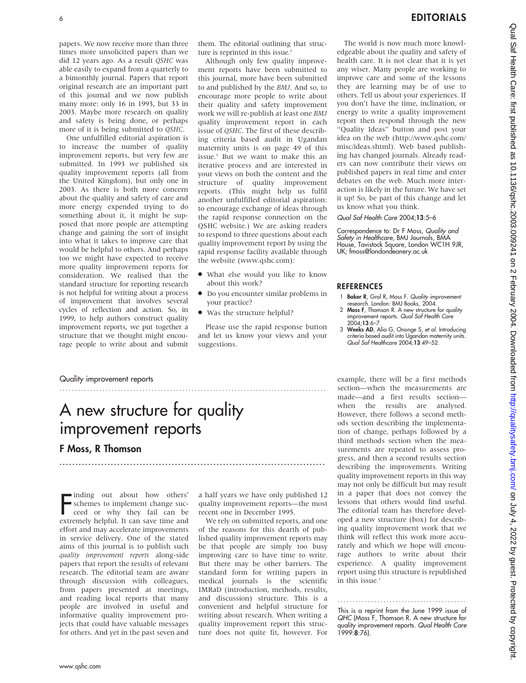papers. We now receive more than three times more unsolicited papers than we did 12 years ago. As a result QSHC was able easily to expand from a quarterly to a bimonthly journal. Papers that report original research are an important part of this journal and we now publish many more: only 16 in 1993, but 33 in 2003. Maybe more research on quality and safety is being done, or perhaps more of it is being submitted to QSHC.

One unfulfilled editorial aspiration is to increase the number of quality improvement reports, but very few are submitted. In 1993 we published six quality improvement reports (all from the United Kingdom), but only one in 2003. As there is both more concern about the quality and safety of care and more energy expended trying to do something about it, it might be supposed that more people are attempting change and gaining the sort of insight into what it takes to improve care that would be helpful to others. And perhaps too we might have expected to receive more quality improvement reports for consideration. We realised that the standard structure for reporting research is not helpful for writing about a process of improvement that involves several cycles of reflection and action. So, in 1999, to help authors construct quality improvement reports, we put together a structure that we thought might encourage people to write about and submit them. The editorial outlining that structure is reprinted in this issue.<sup>2</sup>

Although only few quality improvement reports have been submitted to this journal, more have been submitted to and published by the BMJ. And so, to encourage more people to write about their quality and safety improvement work we will re-publish at least one BMJ quality improvement report in each issue of QSHC. The first of these describing criteria based audit in Ugandan maternity units is on page 49 of this issue.3 But we want to make this an iterative process and are interested in your views on both the content and the structure of quality improvement reports. (This might help us fulfil another unfulfilled editorial aspiration: to encourage exchange of ideas through the rapid response connection on the QSHC website.) We are asking readers to respond to three questions about each quality improvement report by using the rapid response facility available through the website (www.qshc.com):

- What else would you like to know about this work?
- Do you encounter similar problems in your practice?
- Was the structure helpful?

.......................................................................................

Please use the rapid response button and let us know your views and your suggestions.

### Quality improvement reports

# A new structure for quality improvement reports

...................................................................................

## F Moss, R Thomson

Finally out about now others<br>schemes to implement change suc-<br>ceed or why they fail can be<br>extremely helpful. It can save time and inding out about how others' schemes to implement change succeed or why they fail can be effort and may accelerate improvements in service delivery. One of the stated aims of this journal is to publish such quality improvement reports along-side papers that report the results of relevant research. The editorial team are aware through discussion with colleagues, from papers presented at meetings, and reading local reports that many people are involved in useful and informative quality improvement projects that could have valuable messages for others. And yet in the past seven and

a half years we have only published 12 quality improvement reports—the most recent one in December 1995.

We rely on submitted reports, and one of the reasons for this dearth of published quality improvement reports may be that people are simply too busy improving care to have time to write. But there may be other barriers. The standard form for writing papers in medical journals is the scientific IMRaD (introduction, methods, results, and discussion) structure. This is a convenient and helpful structure for writing about research. When writing a quality improvement report this structure does not quite fit, however. For

The world is now much more knowledgeable about the quality and safety of health care. It is not clear that it is yet any wiser. Many people are working to improve care and some of the lessons they are learning may be of use to others. Tell us about your experiences. If you don't have the time, inclination, or energy to write a quality improvement report then respond through the new ''Quality Ideas'' button and post your idea on the web (http://www.qshc.com/ misc/ideas.shtml). Web based publishing has changed journals. Already readers can now contribute their views on published papers in real time and enter debates on the web. Much more interaction is likely in the future. We have set it up! So, be part of this change and let us know what you think.

#### Qual Saf Health Care 2004;13:5–6

Correspondence to: Dr F Moss, Quality and Safety in Healthcare, BMJ Journals, BMA House, Tavistock Square, London WC1H 9JR, UK; fmoss@londondeanery.ac.uk

### **REFERENCES**

- 1 Baker R, Grol R, Moss F. Quality improvement research. London: BMJ Books, 2004.
- 2 Moss F, Thomson R. A new structure for quality improvement reports. Qual Saf Health Care 2004;13:6–7.
- 3 Weeks AD, Alia G, Ononge S, et al. Introducing criteria based audit into Ugandan maternity units. Qual Saf Healthcare 2004;13:49–52.

example, there will be a first methods section—when the measurements are made—and a first results section when the results are analysed. However, there follows a second methods section describing the implementation of change, perhaps followed by a third methods section when the measurements are repeated to assess progress, and then a second results section describing the improvements. Writing quality improvement reports in this way may not only be difficult but may result in a paper that does not convey the lessons that others would find useful. The editorial team has therefore developed a new structure (box) for describing quality improvement work that we think will reflect this work more accurately and which we hope will encourage authors to write about their experience. A quality improvement report using this structure is republished in this issue.<sup>1</sup>

This is a reprint from the June 1999 issue of QHC (Moss F, Thomson R. A new structure for quality improvement reports. Qual Health Care 1999:8:76).

..........................................